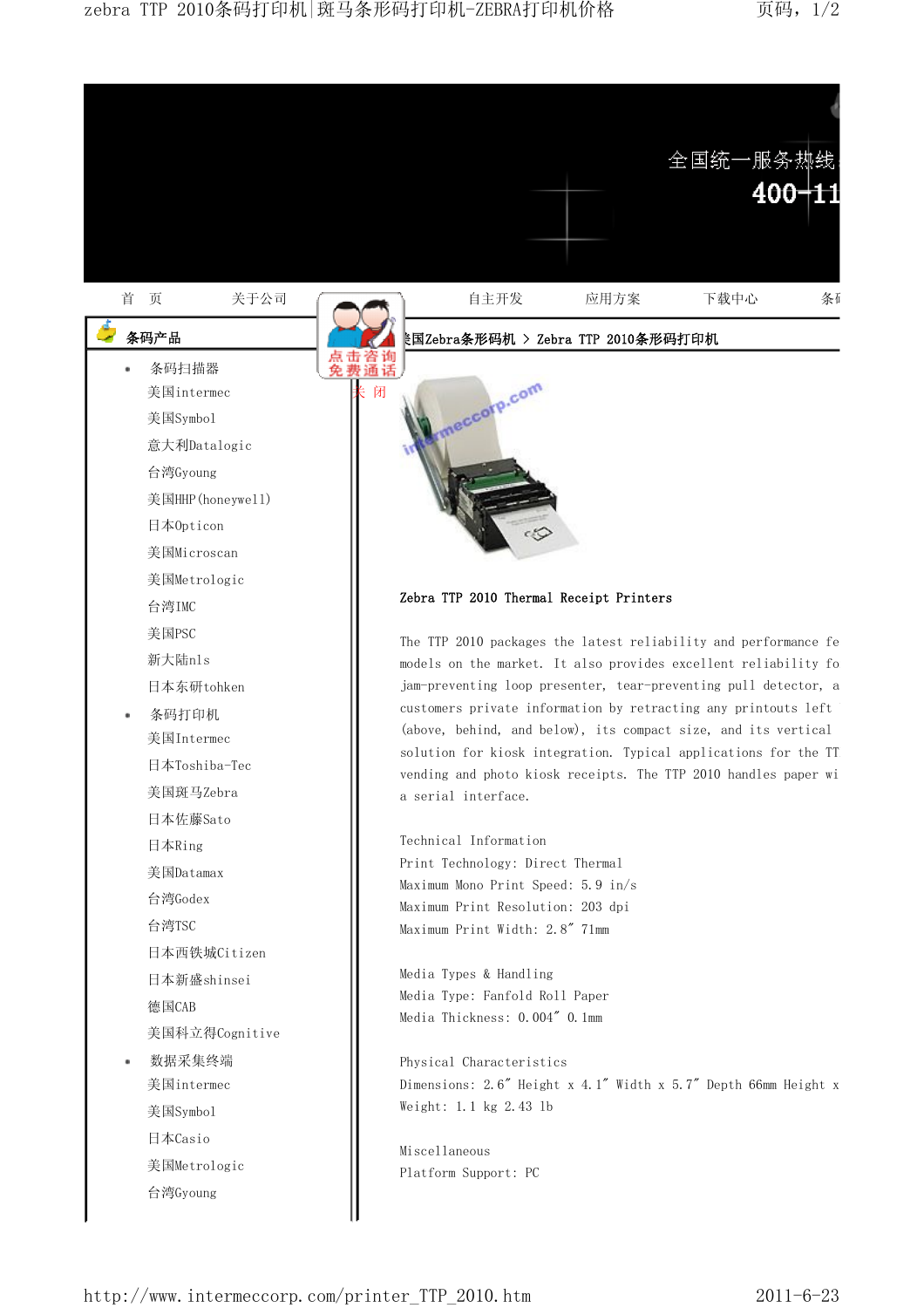